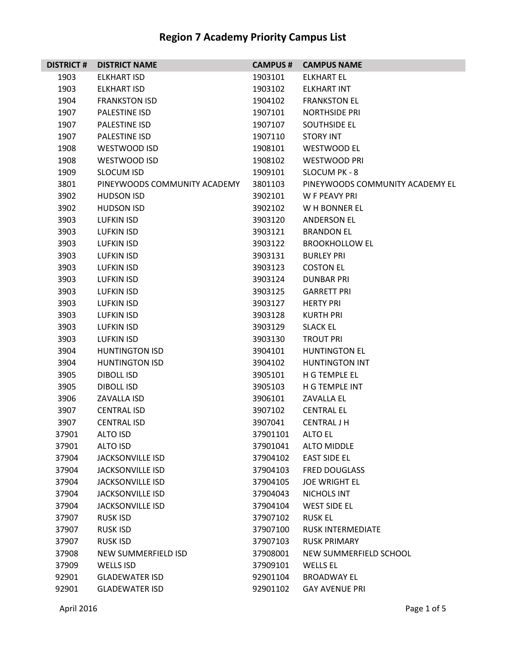| <b>DISTRICT#</b> | <b>DISTRICT NAME</b>         | <b>CAMPUS#</b> | <b>CAMPUS NAME</b>              |
|------------------|------------------------------|----------------|---------------------------------|
| 1903             | ELKHART ISD                  | 1903101        | ELKHART EL                      |
| 1903             | ELKHART ISD                  | 1903102        | <b>ELKHART INT</b>              |
| 1904             | <b>FRANKSTON ISD</b>         | 1904102        | <b>FRANKSTON EL</b>             |
| 1907             | <b>PALESTINE ISD</b>         | 1907101        | <b>NORTHSIDE PRI</b>            |
| 1907             | PALESTINE ISD                | 1907107        | <b>SOUTHSIDE EL</b>             |
| 1907             | <b>PALESTINE ISD</b>         | 1907110        | <b>STORY INT</b>                |
| 1908             | WESTWOOD ISD                 | 1908101        | <b>WESTWOOD EL</b>              |
| 1908             | <b>WESTWOOD ISD</b>          | 1908102        | <b>WESTWOOD PRI</b>             |
| 1909             | <b>SLOCUM ISD</b>            | 1909101        | SLOCUM PK - 8                   |
| 3801             | PINEYWOODS COMMUNITY ACADEMY | 3801103        | PINEYWOODS COMMUNITY ACADEMY EL |
| 3902             | <b>HUDSON ISD</b>            | 3902101        | W F PEAVY PRI                   |
| 3902             | <b>HUDSON ISD</b>            | 3902102        | W H BONNER EL                   |
| 3903             | <b>LUFKIN ISD</b>            | 3903120        | <b>ANDERSON EL</b>              |
| 3903             | LUFKIN ISD                   | 3903121        | <b>BRANDON EL</b>               |
| 3903             | LUFKIN ISD                   | 3903122        | <b>BROOKHOLLOW EL</b>           |
| 3903             | LUFKIN ISD                   | 3903131        | <b>BURLEY PRI</b>               |
| 3903             | LUFKIN ISD                   | 3903123        | <b>COSTON EL</b>                |
| 3903             | <b>LUFKIN ISD</b>            | 3903124        | <b>DUNBAR PRI</b>               |
| 3903             | LUFKIN ISD                   | 3903125        | <b>GARRETT PRI</b>              |
| 3903             | <b>LUFKIN ISD</b>            | 3903127        | <b>HERTY PRI</b>                |
| 3903             | LUFKIN ISD                   | 3903128        | KURTH PRI                       |
| 3903             | LUFKIN ISD                   | 3903129        | <b>SLACK EL</b>                 |
| 3903             | <b>LUFKIN ISD</b>            | 3903130        | <b>TROUT PRI</b>                |
| 3904             | <b>HUNTINGTON ISD</b>        | 3904101        | <b>HUNTINGTON EL</b>            |
| 3904             | <b>HUNTINGTON ISD</b>        | 3904102        | <b>HUNTINGTON INT</b>           |
| 3905             | DIBOLL ISD                   | 3905101        | H G TEMPLE EL                   |
| 3905             | DIBOLL ISD                   | 3905103        | H G TEMPLE INT                  |
| 3906             | <b>ZAVALLA ISD</b>           | 3906101        | <b>ZAVALLA EL</b>               |
| 3907             | <b>CENTRAL ISD</b>           | 3907102        | <b>CENTRAL EL</b>               |
| 3907             | <b>CENTRAL ISD</b>           | 3907041        | <b>CENTRAL J H</b>              |
| 37901            | <b>ALTO ISD</b>              | 37901101       | <b>ALTO EL</b>                  |
| 37901            | <b>ALTO ISD</b>              | 37901041       | <b>ALTO MIDDLE</b>              |
| 37904            | <b>JACKSONVILLE ISD</b>      | 37904102       | <b>EAST SIDE EL</b>             |
| 37904            | <b>JACKSONVILLE ISD</b>      | 37904103       | <b>FRED DOUGLASS</b>            |
| 37904            | <b>JACKSONVILLE ISD</b>      | 37904105       | <b>JOE WRIGHT EL</b>            |
| 37904            | <b>JACKSONVILLE ISD</b>      | 37904043       | NICHOLS INT                     |
| 37904            | <b>JACKSONVILLE ISD</b>      | 37904104       | <b>WEST SIDE EL</b>             |
| 37907            | <b>RUSK ISD</b>              | 37907102       | <b>RUSK EL</b>                  |
| 37907            | <b>RUSK ISD</b>              | 37907100       | <b>RUSK INTERMEDIATE</b>        |
| 37907            | <b>RUSK ISD</b>              | 37907103       | <b>RUSK PRIMARY</b>             |
| 37908            | NEW SUMMERFIELD ISD          | 37908001       | NEW SUMMERFIELD SCHOOL          |
| 37909            | <b>WELLS ISD</b>             | 37909101       | <b>WELLS EL</b>                 |
| 92901            | <b>GLADEWATER ISD</b>        | 92901104       | <b>BROADWAY EL</b>              |
| 92901            | <b>GLADEWATER ISD</b>        | 92901102       | <b>GAY AVENUE PRI</b>           |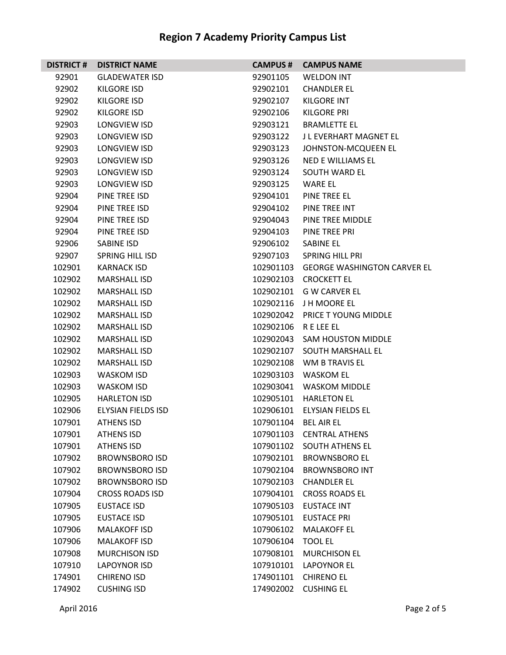| <b>DISTRICT#</b> | <b>DISTRICT NAME</b>   | <b>CAMPUS#</b> | <b>CAMPUS NAME</b>                 |
|------------------|------------------------|----------------|------------------------------------|
| 92901            | <b>GLADEWATER ISD</b>  | 92901105       | <b>WELDON INT</b>                  |
| 92902            | KILGORE ISD            | 92902101       | <b>CHANDLER EL</b>                 |
| 92902            | <b>KILGORE ISD</b>     | 92902107       | <b>KILGORE INT</b>                 |
| 92902            | <b>KILGORE ISD</b>     | 92902106       | KILGORE PRI                        |
| 92903            | LONGVIEW ISD           | 92903121       | <b>BRAMLETTE EL</b>                |
| 92903            | LONGVIEW ISD           | 92903122       | J L EVERHART MAGNET EL             |
| 92903            | LONGVIEW ISD           | 92903123       | JOHNSTON-MCQUEEN EL                |
| 92903            | <b>LONGVIEW ISD</b>    | 92903126       | <b>NED E WILLIAMS EL</b>           |
| 92903            | <b>LONGVIEW ISD</b>    | 92903124       | SOUTH WARD FL                      |
| 92903            | LONGVIEW ISD           | 92903125       | WARE EL                            |
| 92904            | PINE TREE ISD          | 92904101       | PINE TREE EL                       |
| 92904            | PINE TREE ISD          | 92904102       | PINE TREE INT                      |
| 92904            | PINE TREE ISD          | 92904043       | PINE TREE MIDDLE                   |
| 92904            | PINE TREE ISD          | 92904103       | PINE TREE PRI                      |
| 92906            | SABINE ISD             | 92906102       | <b>SABINE EL</b>                   |
| 92907            | <b>SPRING HILL ISD</b> | 92907103       | <b>SPRING HILL PRI</b>             |
| 102901           | <b>KARNACK ISD</b>     | 102901103      | <b>GEORGE WASHINGTON CARVER EL</b> |
| 102902           | <b>MARSHALL ISD</b>    | 102902103      | <b>CROCKETT EL</b>                 |
| 102902           | <b>MARSHALL ISD</b>    | 102902101      | G W CARVER EL                      |
| 102902           | <b>MARSHALL ISD</b>    | 102902116      | J H MOORE EL                       |
| 102902           | <b>MARSHALL ISD</b>    | 102902042      | <b>PRICE T YOUNG MIDDLE</b>        |
| 102902           | <b>MARSHALL ISD</b>    | 102902106      | R E LEE EL                         |
| 102902           | <b>MARSHALL ISD</b>    | 102902043      | <b>SAM HOUSTON MIDDLE</b>          |
| 102902           | <b>MARSHALL ISD</b>    | 102902107      | SOUTH MARSHALL EL                  |
| 102902           | <b>MARSHALL ISD</b>    | 102902108      | WM B TRAVIS EL                     |
| 102903           | WASKOM ISD             | 102903103      | WASKOM EL                          |
| 102903           | <b>WASKOM ISD</b>      | 102903041      | <b>WASKOM MIDDLE</b>               |
| 102905           | <b>HARLETON ISD</b>    | 102905101      | <b>HARLETON EL</b>                 |
| 102906           | ELYSIAN FIELDS ISD     | 102906101      | ELYSIAN FIELDS EL                  |
| 107901           | <b>ATHENS ISD</b>      | 107901104      | <b>BEL AIR EL</b>                  |
| 107901           | <b>ATHENS ISD</b>      | 107901103      | <b>CENTRAL ATHENS</b>              |
| 107901           | <b>ATHENS ISD</b>      | 107901102      | <b>SOUTH ATHENS EL</b>             |
| 107902           | <b>BROWNSBORO ISD</b>  | 107902101      | <b>BROWNSBORO EL</b>               |
| 107902           | <b>BROWNSBORO ISD</b>  | 107902104      | <b>BROWNSBORO INT</b>              |
| 107902           | <b>BROWNSBORO ISD</b>  | 107902103      | <b>CHANDLER EL</b>                 |
| 107904           | <b>CROSS ROADS ISD</b> | 107904101      | <b>CROSS ROADS EL</b>              |
| 107905           | <b>EUSTACE ISD</b>     | 107905103      | <b>EUSTACE INT</b>                 |
| 107905           | <b>EUSTACE ISD</b>     | 107905101      | <b>EUSTACE PRI</b>                 |
| 107906           | <b>MALAKOFF ISD</b>    | 107906102      | <b>MALAKOFF EL</b>                 |
| 107906           | <b>MALAKOFF ISD</b>    | 107906104      | <b>TOOL EL</b>                     |
| 107908           | <b>MURCHISON ISD</b>   | 107908101      | <b>MURCHISON EL</b>                |
| 107910           | <b>LAPOYNOR ISD</b>    | 107910101      | LAPOYNOR EL                        |
| 174901           | <b>CHIRENO ISD</b>     | 174901101      | <b>CHIRENO EL</b>                  |
| 174902           | <b>CUSHING ISD</b>     | 174902002      | <b>CUSHING EL</b>                  |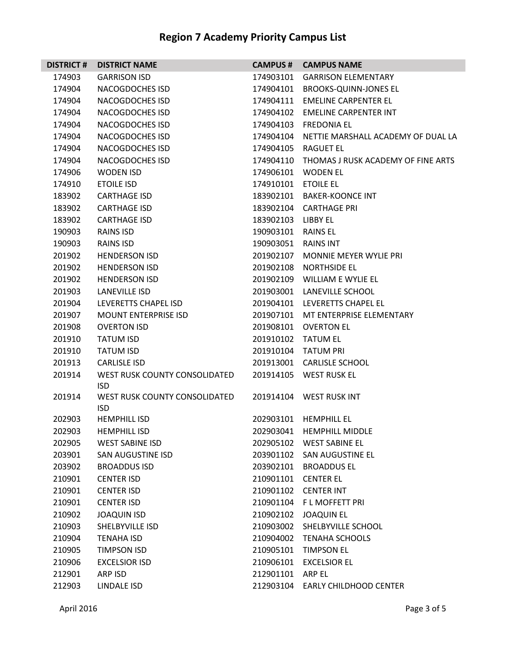| <b>DISTRICT#</b> | <b>DISTRICT NAME</b>                        | <b>CAMPUS #</b> | <b>CAMPUS NAME</b>                           |
|------------------|---------------------------------------------|-----------------|----------------------------------------------|
| 174903           | <b>GARRISON ISD</b>                         | 174903101       | <b>GARRISON ELEMENTARY</b>                   |
| 174904           | NACOGDOCHES ISD                             | 174904101       | <b>BROOKS-QUINN-JONES EL</b>                 |
| 174904           | <b>NACOGDOCHES ISD</b>                      | 174904111       | <b>EMELINE CARPENTER EL</b>                  |
| 174904           | NACOGDOCHES ISD                             | 174904102       | <b>EMELINE CARPENTER INT</b>                 |
| 174904           | NACOGDOCHES ISD                             | 174904103       | <b>FREDONIA EL</b>                           |
| 174904           | NACOGDOCHES ISD                             |                 | 174904104 NETTIE MARSHALL ACADEMY OF DUAL LA |
| 174904           | <b>NACOGDOCHES ISD</b>                      | 174904105       | <b>RAGUET EL</b>                             |
| 174904           | <b>NACOGDOCHES ISD</b>                      | 174904110       | THOMAS J RUSK ACADEMY OF FINE ARTS           |
| 174906           | <b>WODEN ISD</b>                            | 174906101       | <b>WODEN EL</b>                              |
| 174910           | <b>ETOILE ISD</b>                           | 174910101       | <b>ETOILE EL</b>                             |
| 183902           | <b>CARTHAGE ISD</b>                         | 183902101       | BAKER-KOONCE INT                             |
| 183902           | <b>CARTHAGE ISD</b>                         | 183902104       | <b>CARTHAGE PRI</b>                          |
| 183902           | <b>CARTHAGE ISD</b>                         | 183902103       | LIBBY EL                                     |
| 190903           | <b>RAINS ISD</b>                            | 190903101       | <b>RAINS EL</b>                              |
| 190903           | <b>RAINS ISD</b>                            | 190903051       | <b>RAINS INT</b>                             |
| 201902           | <b>HENDERSON ISD</b>                        | 201902107       | <b>MONNIE MEYER WYLIE PRI</b>                |
| 201902           | <b>HENDERSON ISD</b>                        | 201902108       | <b>NORTHSIDE EL</b>                          |
| 201902           | <b>HENDERSON ISD</b>                        | 201902109       | WILLIAM E WYLIE EL                           |
| 201903           | LANEVILLE ISD                               | 201903001       | LANEVILLE SCHOOL                             |
| 201904           | LEVERETTS CHAPEL ISD                        | 201904101       | LEVERETTS CHAPEL EL                          |
| 201907           | <b>MOUNT ENTERPRISE ISD</b>                 | 201907101       | MT ENTERPRISE ELEMENTARY                     |
| 201908           | <b>OVERTON ISD</b>                          | 201908101       | <b>OVERTON EL</b>                            |
| 201910           | <b>TATUM ISD</b>                            | 201910102       | <b>TATUM EL</b>                              |
| 201910           | <b>TATUM ISD</b>                            | 201910104       | <b>TATUM PRI</b>                             |
| 201913           | <b>CARLISLE ISD</b>                         | 201913001       | <b>CARLISLE SCHOOL</b>                       |
| 201914           | WEST RUSK COUNTY CONSOLIDATED<br><b>ISD</b> | 201914105       | WEST RUSK EL                                 |
| 201914           | WEST RUSK COUNTY CONSOLIDATED<br><b>ISD</b> | 201914104       | <b>WEST RUSK INT</b>                         |
| 202903           | <b>HEMPHILL ISD</b>                         |                 | 202903101 HEMPHILL EL                        |
| 202903           | <b>HEMPHILL ISD</b>                         | 202903041       | <b>HEMPHILL MIDDLE</b>                       |
| 202905           | <b>WEST SABINE ISD</b>                      | 202905102       | <b>WEST SABINE EL</b>                        |
| 203901           | SAN AUGUSTINE ISD                           | 203901102       | SAN AUGUSTINE EL                             |
| 203902           | <b>BROADDUS ISD</b>                         | 203902101       | <b>BROADDUS EL</b>                           |
| 210901           | <b>CENTER ISD</b>                           | 210901101       | <b>CENTER EL</b>                             |
| 210901           | <b>CENTER ISD</b>                           | 210901102       | <b>CENTER INT</b>                            |
| 210901           | <b>CENTER ISD</b>                           | 210901104       | F L MOFFETT PRI                              |
| 210902           | <b>JOAQUIN ISD</b>                          | 210902102       | <b>JOAQUIN EL</b>                            |
| 210903           | SHELBYVILLE ISD                             | 210903002       | SHELBYVILLE SCHOOL                           |
| 210904           | <b>TENAHA ISD</b>                           | 210904002       | <b>TENAHA SCHOOLS</b>                        |
| 210905           | <b>TIMPSON ISD</b>                          | 210905101       | <b>TIMPSON EL</b>                            |
| 210906           | <b>EXCELSIOR ISD</b>                        | 210906101       | <b>EXCELSIOR EL</b>                          |
| 212901           | ARP ISD                                     | 212901101       | ARP EL                                       |
| 212903           | LINDALE ISD                                 | 212903104       | <b>EARLY CHILDHOOD CENTER</b>                |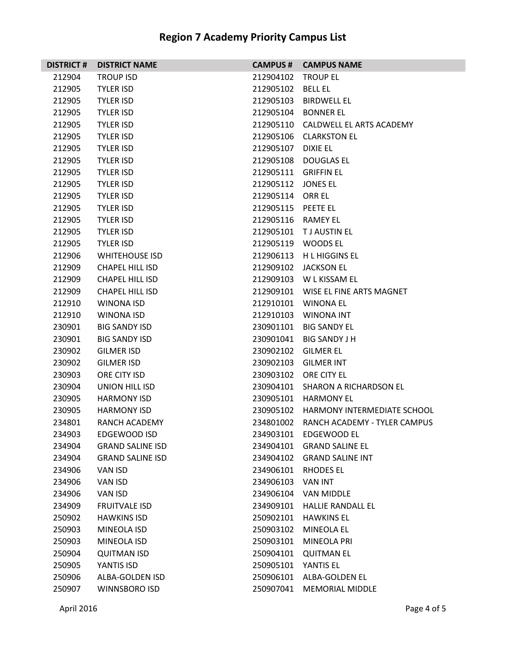| <b>DISTRICT#</b> | <b>DISTRICT NAME</b>    | <b>CAMPUS #</b>      | <b>CAMPUS NAME</b>                 |
|------------------|-------------------------|----------------------|------------------------------------|
| 212904           | <b>TROUP ISD</b>        | 212904102            | <b>TROUP EL</b>                    |
| 212905           | <b>TYLER ISD</b>        | 212905102            | <b>BELL EL</b>                     |
| 212905           | <b>TYLER ISD</b>        | 212905103            | BIRDWELL EL                        |
| 212905           | <b>TYLER ISD</b>        | 212905104            | BONNER EL                          |
| 212905           | <b>TYLER ISD</b>        |                      | 212905110 CALDWELL EL ARTS ACADEMY |
| 212905           | <b>TYLER ISD</b>        |                      | 212905106 CLARKSTON EL             |
| 212905           | <b>TYLER ISD</b>        | 212905107            | <b>DIXIE EL</b>                    |
| 212905           | <b>TYLER ISD</b>        | 212905108            | DOUGLAS EL                         |
| 212905           | <b>TYLER ISD</b>        | 212905111 GRIFFIN EL |                                    |
| 212905           | <b>TYLER ISD</b>        | 212905112            | <b>JONES EL</b>                    |
| 212905           | <b>TYLER ISD</b>        | 212905114 ORR EL     |                                    |
| 212905           | <b>TYLER ISD</b>        | 212905115            | <b>PEETE EL</b>                    |
| 212905           | <b>TYLER ISD</b>        | 212905116            | RAMEY EL                           |
| 212905           | <b>TYLER ISD</b>        | 212905101            | T J AUSTIN EL                      |
| 212905           | <b>TYLER ISD</b>        | 212905119            | <b>WOODS EL</b>                    |
| 212906           | <b>WHITEHOUSE ISD</b>   |                      | 212906113 H L HIGGINS EL           |
| 212909           | <b>CHAPEL HILL ISD</b>  | 212909102            | <b>JACKSON EL</b>                  |
| 212909           | <b>CHAPEL HILL ISD</b>  | 212909103            | W L KISSAM EL                      |
| 212909           | <b>CHAPEL HILL ISD</b>  | 212909101            | WISE EL FINE ARTS MAGNET           |
| 212910           | WINONA ISD              | 212910101            | WINONA EL                          |
| 212910           | WINONA ISD              |                      | 212910103  WINONA INT              |
| 230901           | <b>BIG SANDY ISD</b>    |                      | 230901101 BIG SANDY EL             |
| 230901           | <b>BIG SANDY ISD</b>    | 230901041            | <b>BIG SANDY J H</b>               |
| 230902           | <b>GILMER ISD</b>       | 230902102            | <b>GILMER EL</b>                   |
| 230902           | <b>GILMER ISD</b>       | 230902103            | <b>GILMER INT</b>                  |
| 230903           | ORE CITY ISD            |                      | 230903102 ORE CITY EL              |
| 230904           | UNION HILL ISD          | 230904101            | SHARON A RICHARDSON EL             |
| 230905           | <b>HARMONY ISD</b>      | 230905101            | <b>HARMONY EL</b>                  |
| 230905           | <b>HARMONY ISD</b>      | 230905102            | HARMONY INTERMEDIATE SCHOOL        |
| 234801           | RANCH ACADEMY           | 234801002            | RANCH ACADEMY - TYLER CAMPUS       |
| 234903           | EDGEWOOD ISD            | 234903101            | EDGEWOOD EL                        |
| 234904           | <b>GRAND SALINE ISD</b> | 234904101            | <b>GRAND SALINE EL</b>             |
| 234904           | <b>GRAND SALINE ISD</b> | 234904102            | <b>GRAND SALINE INT</b>            |
| 234906           | VAN ISD                 | 234906101            | <b>RHODES EL</b>                   |
| 234906           | VAN ISD                 | 234906103            | <b>VAN INT</b>                     |
| 234906           | VAN ISD                 | 234906104            | VAN MIDDLE                         |
| 234909           | <b>FRUITVALE ISD</b>    | 234909101            | <b>HALLIE RANDALL EL</b>           |
| 250902           | <b>HAWKINS ISD</b>      | 250902101            | <b>HAWKINS EL</b>                  |
| 250903           | <b>MINEOLA ISD</b>      | 250903102            | <b>MINEOLA EL</b>                  |
| 250903           | MINEOLA ISD             | 250903101            | <b>MINEOLA PRI</b>                 |
| 250904           | <b>QUITMAN ISD</b>      | 250904101            | <b>QUITMAN EL</b>                  |
| 250905           | YANTIS ISD              | 250905101            | YANTIS EL                          |
| 250906           | ALBA-GOLDEN ISD         | 250906101            | <b>ALBA-GOLDEN EL</b>              |
| 250907           | WINNSBORO ISD           | 250907041            | <b>MEMORIAL MIDDLE</b>             |